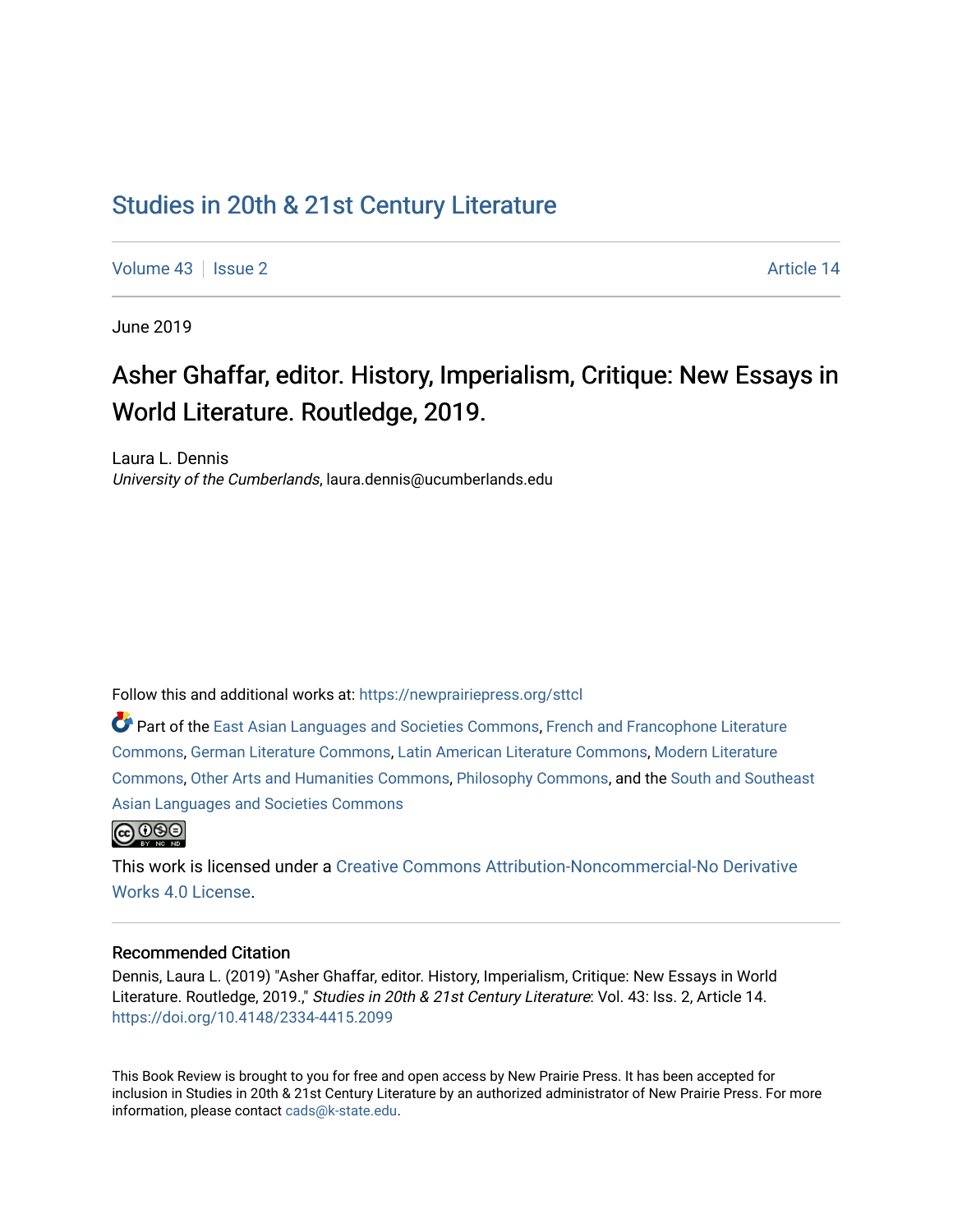## [Studies in 20th & 21st Century Literature](https://newprairiepress.org/sttcl)

[Volume 43](https://newprairiepress.org/sttcl/vol43) | [Issue 2](https://newprairiepress.org/sttcl/vol43/iss2) Article 14

June 2019

# Asher Ghaffar, editor. History, Imperialism, Critique: New Essays in World Literature. Routledge, 2019.

Laura L. Dennis University of the Cumberlands, laura.dennis@ucumberlands.edu

Follow this and additional works at: [https://newprairiepress.org/sttcl](https://newprairiepress.org/sttcl?utm_source=newprairiepress.org%2Fsttcl%2Fvol43%2Fiss2%2F14&utm_medium=PDF&utm_campaign=PDFCoverPages) 

Part of the [East Asian Languages and Societies Commons,](http://network.bepress.com/hgg/discipline/481?utm_source=newprairiepress.org%2Fsttcl%2Fvol43%2Fiss2%2F14&utm_medium=PDF&utm_campaign=PDFCoverPages) [French and Francophone Literature](http://network.bepress.com/hgg/discipline/465?utm_source=newprairiepress.org%2Fsttcl%2Fvol43%2Fiss2%2F14&utm_medium=PDF&utm_campaign=PDFCoverPages)  [Commons](http://network.bepress.com/hgg/discipline/465?utm_source=newprairiepress.org%2Fsttcl%2Fvol43%2Fiss2%2F14&utm_medium=PDF&utm_campaign=PDFCoverPages), [German Literature Commons](http://network.bepress.com/hgg/discipline/469?utm_source=newprairiepress.org%2Fsttcl%2Fvol43%2Fiss2%2F14&utm_medium=PDF&utm_campaign=PDFCoverPages), [Latin American Literature Commons](http://network.bepress.com/hgg/discipline/547?utm_source=newprairiepress.org%2Fsttcl%2Fvol43%2Fiss2%2F14&utm_medium=PDF&utm_campaign=PDFCoverPages), [Modern Literature](http://network.bepress.com/hgg/discipline/1050?utm_source=newprairiepress.org%2Fsttcl%2Fvol43%2Fiss2%2F14&utm_medium=PDF&utm_campaign=PDFCoverPages)  [Commons](http://network.bepress.com/hgg/discipline/1050?utm_source=newprairiepress.org%2Fsttcl%2Fvol43%2Fiss2%2F14&utm_medium=PDF&utm_campaign=PDFCoverPages), [Other Arts and Humanities Commons](http://network.bepress.com/hgg/discipline/577?utm_source=newprairiepress.org%2Fsttcl%2Fvol43%2Fiss2%2F14&utm_medium=PDF&utm_campaign=PDFCoverPages), [Philosophy Commons](http://network.bepress.com/hgg/discipline/525?utm_source=newprairiepress.org%2Fsttcl%2Fvol43%2Fiss2%2F14&utm_medium=PDF&utm_campaign=PDFCoverPages), and the [South and Southeast](http://network.bepress.com/hgg/discipline/487?utm_source=newprairiepress.org%2Fsttcl%2Fvol43%2Fiss2%2F14&utm_medium=PDF&utm_campaign=PDFCoverPages)  [Asian Languages and Societies Commons](http://network.bepress.com/hgg/discipline/487?utm_source=newprairiepress.org%2Fsttcl%2Fvol43%2Fiss2%2F14&utm_medium=PDF&utm_campaign=PDFCoverPages)



This work is licensed under a [Creative Commons Attribution-Noncommercial-No Derivative](https://creativecommons.org/licenses/by-nc-nd/4.0/)  [Works 4.0 License](https://creativecommons.org/licenses/by-nc-nd/4.0/).

#### Recommended Citation

Dennis, Laura L. (2019) "Asher Ghaffar, editor. History, Imperialism, Critique: New Essays in World Literature. Routledge, 2019.," Studies in 20th & 21st Century Literature: Vol. 43: Iss. 2, Article 14. <https://doi.org/10.4148/2334-4415.2099>

This Book Review is brought to you for free and open access by New Prairie Press. It has been accepted for inclusion in Studies in 20th & 21st Century Literature by an authorized administrator of New Prairie Press. For more information, please contact [cads@k-state.edu](mailto:cads@k-state.edu).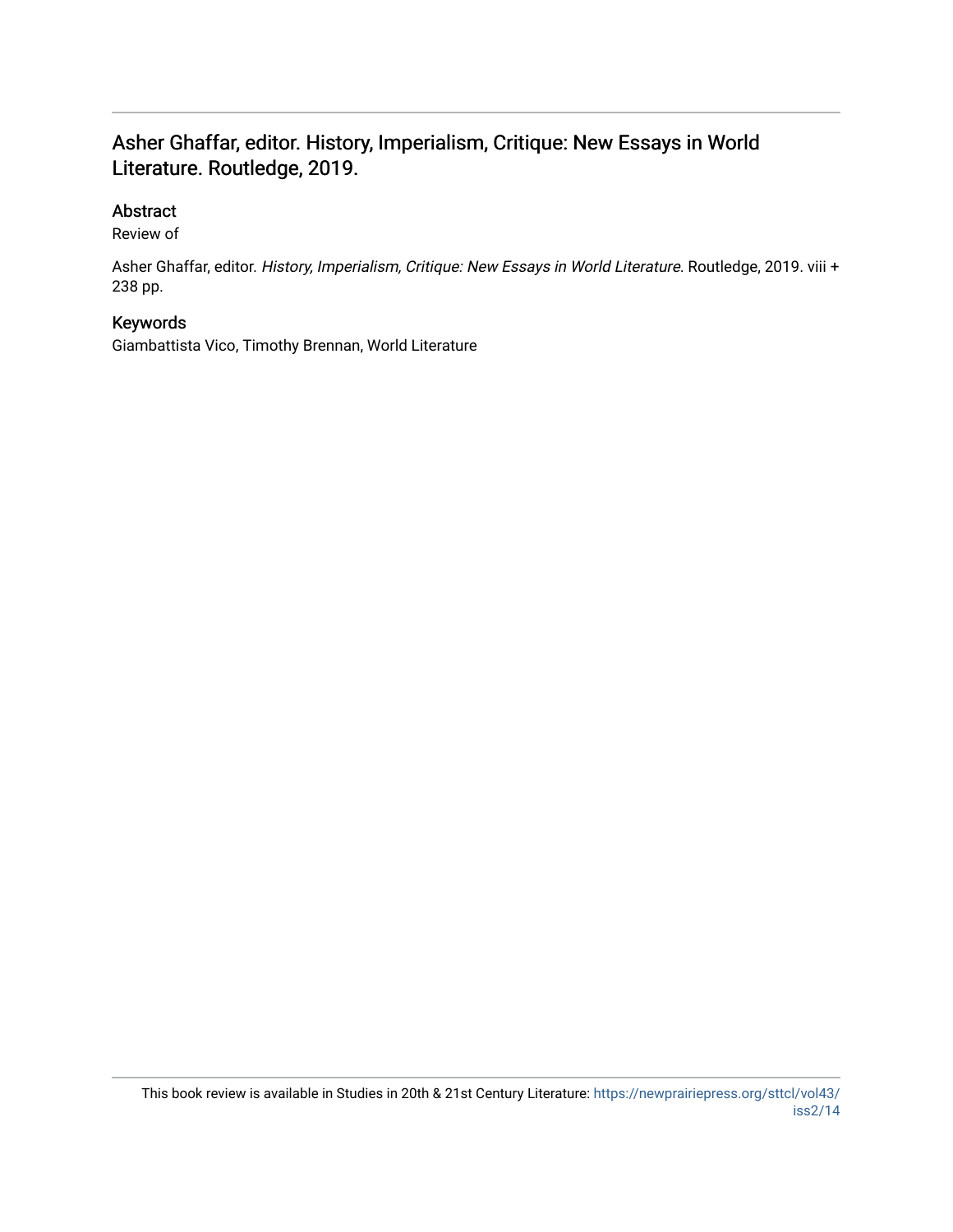### Asher Ghaffar, editor. History, Imperialism, Critique: New Essays in World Literature. Routledge, 2019.

### Abstract

Review of

Asher Ghaffar, editor. History, Imperialism, Critique: New Essays in World Literature. Routledge, 2019. viii + 238 pp.

#### Keywords

Giambattista Vico, Timothy Brennan, World Literature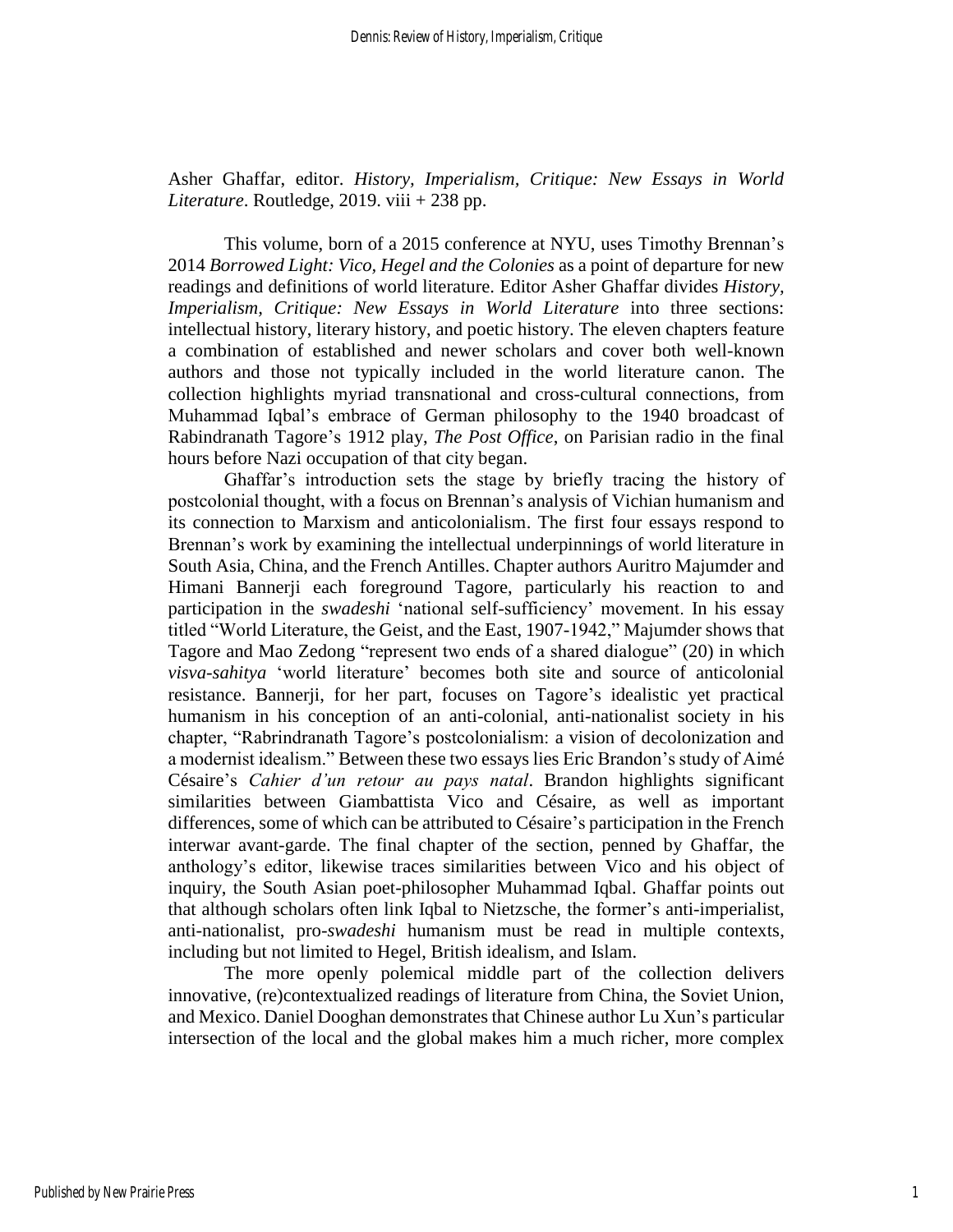Asher Ghaffar, editor. *History, Imperialism, Critique: New Essays in World Literature*. Routledge, 2019. viii + 238 pp.

This volume, born of a 2015 conference at NYU, uses Timothy Brennan's 2014 *Borrowed Light: Vico, Hegel and the Colonies* as a point of departure for new readings and definitions of world literature. Editor Asher Ghaffar divides *History, Imperialism, Critique: New Essays in World Literature* into three sections: intellectual history, literary history, and poetic history. The eleven chapters feature a combination of established and newer scholars and cover both well-known authors and those not typically included in the world literature canon. The collection highlights myriad transnational and cross-cultural connections, from Muhammad Iqbal's embrace of German philosophy to the 1940 broadcast of Rabindranath Tagore's 1912 play, *The Post Office*, on Parisian radio in the final hours before Nazi occupation of that city began.

Ghaffar's introduction sets the stage by briefly tracing the history of postcolonial thought, with a focus on Brennan's analysis of Vichian humanism and its connection to Marxism and anticolonialism. The first four essays respond to Brennan's work by examining the intellectual underpinnings of world literature in South Asia, China, and the French Antilles. Chapter authors Auritro Majumder and Himani Bannerji each foreground Tagore, particularly his reaction to and participation in the *swadeshi* 'national self-sufficiency' movement. In his essay titled "World Literature, the Geist, and the East, 1907-1942," Majumder shows that Tagore and Mao Zedong "represent two ends of a shared dialogue" (20) in which *visva-sahitya* 'world literature' becomes both site and source of anticolonial resistance. Bannerji, for her part, focuses on Tagore's idealistic yet practical humanism in his conception of an anti-colonial, anti-nationalist society in his chapter, "Rabrindranath Tagore's postcolonialism: a vision of decolonization and a modernist idealism." Between these two essays lies Eric Brandon's study of Aimé Césaire's *Cahier d'un retour au pays natal*. Brandon highlights significant similarities between Giambattista Vico and Césaire, as well as important differences, some of which can be attributed to Césaire's participation in the French interwar avant-garde. The final chapter of the section, penned by Ghaffar, the anthology's editor, likewise traces similarities between Vico and his object of inquiry, the South Asian poet-philosopher Muhammad Iqbal. Ghaffar points out that although scholars often link Iqbal to Nietzsche, the former's anti-imperialist, anti-nationalist, pro-*swadeshi* humanism must be read in multiple contexts, including but not limited to Hegel, British idealism, and Islam.

The more openly polemical middle part of the collection delivers innovative, (re)contextualized readings of literature from China, the Soviet Union, and Mexico. Daniel Dooghan demonstrates that Chinese author Lu Xun's particular intersection of the local and the global makes him a much richer, more complex